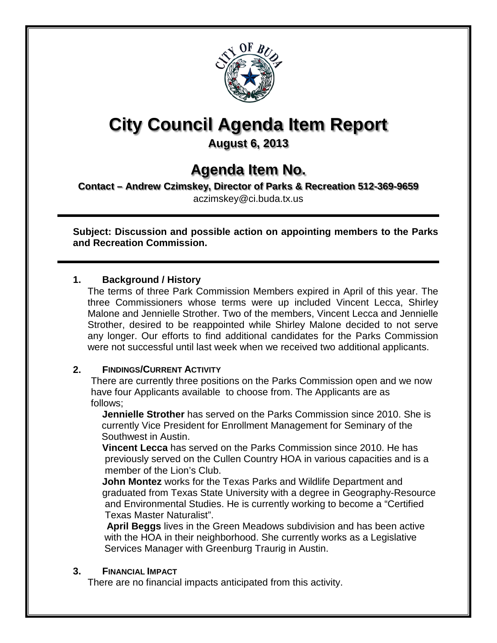

# **City Council Agenda Item Report**

### **August 6, 2013**

## **Agenda Item No.**

**Contact – Andrew Czimskey, Director of Parks & Recreation 512-369-9659**

aczimskey@ci.buda.tx.us

**Subject: Discussion and possible action on appointing members to the Parks and Recreation Commission.**

#### **1. Background / History**

The terms of three Park Commission Members expired in April of this year. The three Commissioners whose terms were up included Vincent Lecca, Shirley Malone and Jennielle Strother. Two of the members, Vincent Lecca and Jennielle Strother, desired to be reappointed while Shirley Malone decided to not serve any longer. Our efforts to find additional candidates for the Parks Commission were not successful until last week when we received two additional applicants.

#### **2. FINDINGS/CURRENT ACTIVITY**

 There are currently three positions on the Parks Commission open and we now have four Applicants available to choose from. The Applicants are as follows;

**Jennielle Strother** has served on the Parks Commission since 2010. She is currently Vice President for Enrollment Management for Seminary of the Southwest in Austin.

**Vincent Lecca** has served on the Parks Commission since 2010. He has previously served on the Cullen Country HOA in various capacities and is a member of the Lion's Club.

**John Montez** works for the Texas Parks and Wildlife Department and graduated from Texas State University with a degree in Geography-Resource and Environmental Studies. He is currently working to become a "Certified Texas Master Naturalist".

 **April Beggs** lives in the Green Meadows subdivision and has been active with the HOA in their neighborhood. She currently works as a Legislative Services Manager with Greenburg Traurig in Austin.

#### **3. FINANCIAL IMPACT**

There are no financial impacts anticipated from this activity.